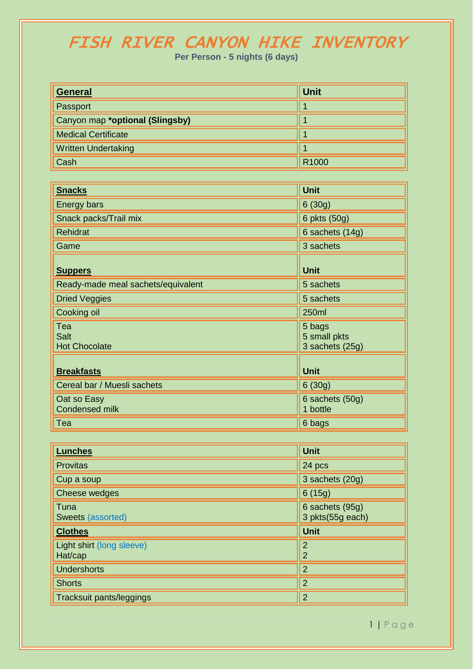## FISH RIVER CANYON HIKE INVENTORY

**Per Person - 5 nights (6 days)**

| <b>General</b>                  | <b>Unit</b> |
|---------------------------------|-------------|
| Passport                        |             |
| Canyon map *optional (Slingsby) |             |
| <b>Medical Certificate</b>      |             |
| <b>Written Undertaking</b>      |             |
| Cash                            | R1000       |

| <b>Snacks</b>                              | <b>Unit</b>                               |
|--------------------------------------------|-------------------------------------------|
| <b>Energy bars</b>                         | 6(30g)                                    |
| Snack packs/Trail mix                      | 6 pkts (50g)                              |
| <b>Rehidrat</b>                            | 6 sachets (14g)                           |
| Game                                       | 3 sachets                                 |
| <b>Suppers</b>                             | <b>Unit</b>                               |
| Ready-made meal sachets/equivalent         | 5 sachets                                 |
| <b>Dried Veggies</b>                       | 5 sachets                                 |
| Cooking oil                                | 250ml                                     |
| Tea<br><b>Salt</b><br><b>Hot Chocolate</b> | 5 bags<br>5 small pkts<br>3 sachets (25g) |
| <b>Breakfasts</b>                          | <b>Unit</b>                               |
| Cereal bar / Muesli sachets                | 6(30g)                                    |
| Oat so Easy<br><b>Condensed milk</b>       | 6 sachets (50g)<br>1 bottle               |
| Tea                                        | 6 bags                                    |

| <b>Lunches</b>                       | <b>Unit</b>                         |
|--------------------------------------|-------------------------------------|
| <b>Provitas</b>                      | 24 pcs                              |
| Cup a soup                           | 3 sachets (20g)                     |
| Cheese wedges                        | 6(15g)                              |
| Tuna<br>Sweets (assorted)            | 6 sachets (95g)<br>3 pkts(55g each) |
| <b>Clothes</b>                       | <b>Unit</b>                         |
| Light shirt (long sleeve)<br>Hat/cap | $\overline{2}$<br>$\overline{2}$    |
| <b>Undershorts</b>                   | $\overline{2}$                      |
| <b>Shorts</b>                        | $\overline{2}$                      |
| Tracksuit pants/leggings             | $\overline{2}$                      |

1 | P a g e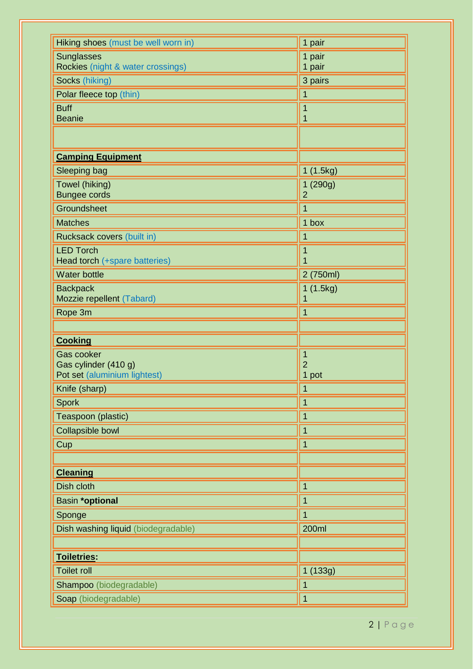| Hiking shoes (must be well worn in)                    | 1 pair                     |
|--------------------------------------------------------|----------------------------|
| <b>Sunglasses</b><br>Rockies (night & water crossings) | 1 pair<br>1 pair           |
| Socks (hiking)                                         | 3 pairs                    |
| Polar fleece top (thin)                                | 1                          |
| <b>Buff</b>                                            |                            |
| <b>Beanie</b>                                          | 1                          |
|                                                        |                            |
| <b>Camping Equipment</b>                               |                            |
| Sleeping bag                                           | 1 (1.5kg)                  |
| Towel (hiking)<br><b>Bungee cords</b>                  | 1 (290g)<br>$\overline{2}$ |
| Groundsheet                                            |                            |
| <b>Matches</b>                                         | 1 box                      |
| Rucksack covers (built in)                             | 1                          |
| <b>LED Torch</b><br>Head torch (+spare batteries)      | 1<br>1                     |
| <b>Water bottle</b>                                    | 2 (750ml)                  |
| <b>Backpack</b><br>Mozzie repellent (Tabard)           | 1 (1.5kg)<br>1             |
| Rope 3m                                                | 1                          |
|                                                        |                            |
| <b>Cooking</b>                                         |                            |
| <b>Gas cooker</b>                                      | 1                          |
| Gas cylinder (410 g)                                   | $\overline{2}$             |
| Pot set (aluminium lightest)                           | 1 pot                      |
| Knife (sharp)                                          | 1                          |
| <b>Spork</b>                                           |                            |
| Teaspoon (plastic)                                     | 1                          |
| Collapsible bowl                                       |                            |
| Cup                                                    |                            |
|                                                        |                            |
| <b>Cleaning</b>                                        |                            |
| Dish cloth                                             |                            |
|                                                        | 1                          |
| Basin *optional                                        | 1                          |
| Sponge                                                 |                            |
| Dish washing liquid (biodegradable)                    | <b>200ml</b>               |
|                                                        |                            |
| Toiletries:                                            |                            |
| <b>Toilet roll</b>                                     | 1 (133g)                   |
| Shampoo (biodegradable)                                | 1                          |

2 | P a g e